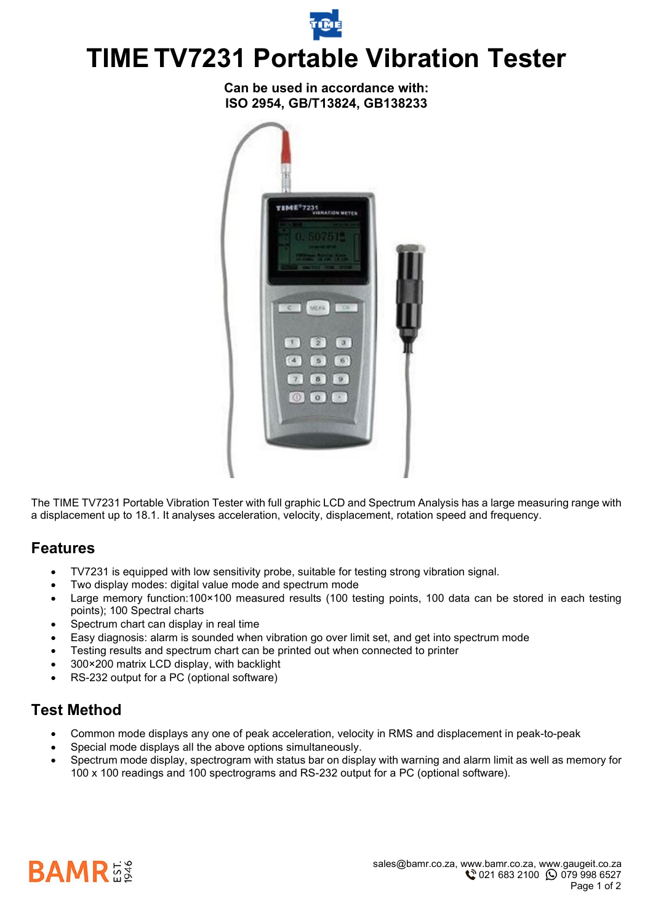

**Can be used in accordance with: ISO 2954, GB/T13824, GB138233**



The TIME TV7231 Portable Vibration Tester with full graphic LCD and Spectrum Analysis has a large measuring range with a displacement up to 18.1. It analyses acceleration, velocity, displacement, rotation speed and frequency.

#### **Features**

- TV7231 is equipped with low sensitivity probe, suitable for testing strong vibration signal.
- Two display modes: digital value mode and spectrum mode
- Large memory function:100×100 measured results (100 testing points, 100 data can be stored in each testing points); 100 Spectral charts
- Spectrum chart can display in real time
- Easy diagnosis: alarm is sounded when vibration go over limit set, and get into spectrum mode
- Testing results and spectrum chart can be printed out when connected to printer
- 300×200 matrix LCD display, with backlight
- RS-232 output for a PC (optional software)

#### **Test Method**

- Common mode displays any one of peak acceleration, velocity in RMS and displacement in peak-to-peak
- Special mode displays all the above options simultaneously.
- Spectrum mode display, spectrogram with status bar on display with warning and alarm limit as well as memory for 100 x 100 readings and 100 spectrograms and RS-232 output for a PC (optional software).